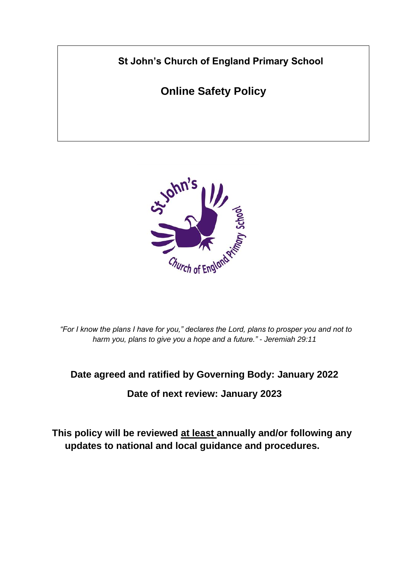**St John's Church of England Primary School**

**Online Safety Policy**



*"For I know the plans I have for you," declares the Lord, plans to prosper you and not to harm you, plans to give you a hope and a future." - Jeremiah 29:11*

#### **Date agreed and ratified by Governing Body: January 2022**

**Date of next review: January 2023**

**This policy will be reviewed at least annually and/or following any updates to national and local guidance and procedures.**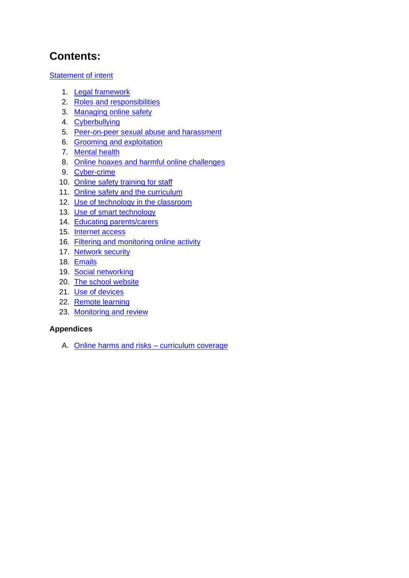## **Contents:**

**[Statement of intent](#page-2-0)** 

- 1. [Legal framework](#page-3-0)
- 2. [Roles and responsibilities](#page-3-1)
- 3. [Managing online safety](#page-5-0)
- 4. [Cyberbullying](#page-6-0)
- 5. [Peer-on-peer sexual abuse and harassment](#page-6-1)
- 6. [Grooming and exploitation](#page-7-0)
- 7. [Mental health](#page-8-0)
- 8. [Online hoaxes and harmful online challenges](#page-9-0)
- 9. [Cyber-crime](#page-10-0)
- 10. [Online safety training for staff](#page-10-1)
- 11. [Online safety and the curriculum](#page-10-2)
- 12. [Use of technology in the classroom](#page-12-0)
- 13. [Use of smart technology](#page-12-1)
- 14. [Educating parents/carers](#page-13-0)
- 15. [Internet access](#page-14-0)
- 16. [Filtering and monitoring online activity](#page-14-1)
- 17. [Network security](#page-15-0)
- 18. [Emails](#page-15-1)
- 19. [Social networking](#page-15-2)
- 20. [The school website](#page-16-0)
- 21. [Use of devices](#page-16-1)
- 22. [Remote learning](#page-18-0)
- 23. [Monitoring and review](#page-18-1)

#### **Appendices**

A. [Online harms and risks –](#page-19-0) curriculum coverage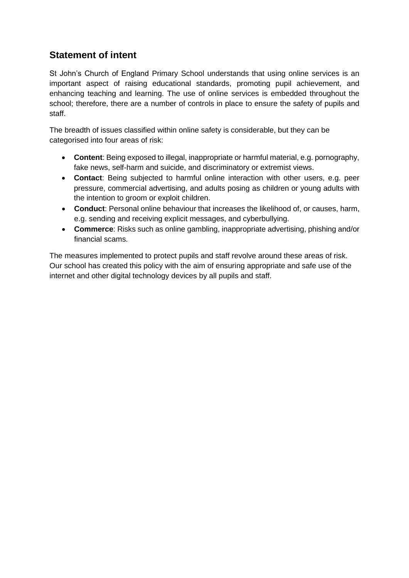### <span id="page-2-0"></span>**Statement of intent**

St John's Church of England Primary School understands that using online services is an important aspect of raising educational standards, promoting pupil achievement, and enhancing teaching and learning. The use of online services is embedded throughout the school; therefore, there are a number of controls in place to ensure the safety of pupils and staff.

The breadth of issues classified within online safety is considerable, but they can be categorised into four areas of risk:

- **Content**: Being exposed to illegal, inappropriate or harmful material, e.g. pornography, fake news, self-harm and suicide, and discriminatory or extremist views.
- **Contact**: Being subjected to harmful online interaction with other users, e.g. peer pressure, commercial advertising, and adults posing as children or young adults with the intention to groom or exploit children.
- **Conduct**: Personal online behaviour that increases the likelihood of, or causes, harm, e.g. sending and receiving explicit messages, and cyberbullying.
- **Commerce**: Risks such as online gambling, inappropriate advertising, phishing and/or financial scams.

The measures implemented to protect pupils and staff revolve around these areas of risk. Our school has created this policy with the aim of ensuring appropriate and safe use of the internet and other digital technology devices by all pupils and staff.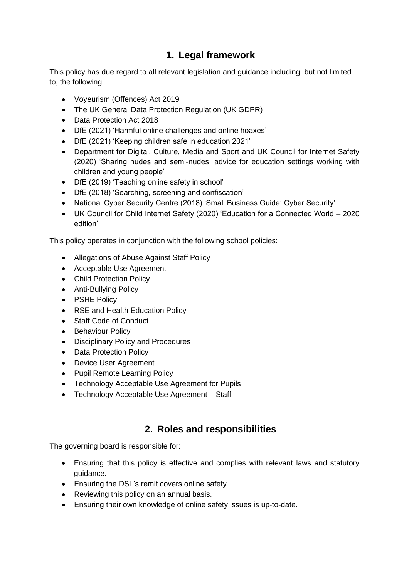### **1. Legal framework**

<span id="page-3-0"></span>This policy has due regard to all relevant legislation and guidance including, but not limited to, the following:

- Voyeurism (Offences) Act 2019
- The UK General Data Protection Regulation (UK GDPR)
- Data Protection Act 2018
- DfE (2021) 'Harmful online challenges and online hoaxes'
- DfE (2021) 'Keeping children safe in education 2021'
- Department for Digital, Culture, Media and Sport and UK Council for Internet Safety (2020) 'Sharing nudes and semi-nudes: advice for education settings working with children and young people'
- DfE (2019) 'Teaching online safety in school'
- DfE (2018) 'Searching, screening and confiscation'
- National Cyber Security Centre (2018) 'Small Business Guide: Cyber Security'
- UK Council for Child Internet Safety (2020) 'Education for a Connected World 2020 edition'

This policy operates in conjunction with the following school policies:

- Allegations of Abuse Against Staff Policy
- Acceptable Use Agreement
- Child Protection Policy
- Anti-Bullying Policy
- PSHE Policy
- RSE and Health Education Policy
- Staff Code of Conduct
- Behaviour Policy
- Disciplinary Policy and Procedures
- Data Protection Policy
- Device User Agreement
- Pupil Remote Learning Policy
- Technology Acceptable Use Agreement for Pupils
- Technology Acceptable Use Agreement Staff

#### **2. Roles and responsibilities**

<span id="page-3-1"></span>The governing board is responsible for:

- Ensuring that this policy is effective and complies with relevant laws and statutory guidance.
- Ensuring the DSL's remit covers online safety.
- Reviewing this policy on an annual basis.
- Ensuring their own knowledge of online safety issues is up-to-date.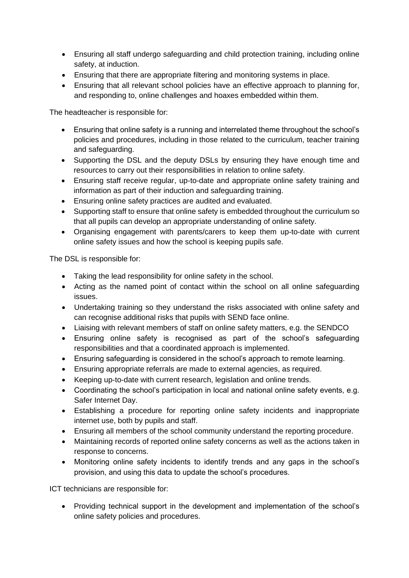- Ensuring all staff undergo safeguarding and child protection training, including online safety, at induction.
- Ensuring that there are appropriate filtering and monitoring systems in place.
- Ensuring that all relevant school policies have an effective approach to planning for, and responding to, online challenges and hoaxes embedded within them.

The headteacher is responsible for:

- Ensuring that online safety is a running and interrelated theme throughout the school's policies and procedures, including in those related to the curriculum, teacher training and safeguarding.
- Supporting the DSL and the deputy DSLs by ensuring they have enough time and resources to carry out their responsibilities in relation to online safety.
- Ensuring staff receive regular, up-to-date and appropriate online safety training and information as part of their induction and safeguarding training.
- Ensuring online safety practices are audited and evaluated.
- Supporting staff to ensure that online safety is embedded throughout the curriculum so that all pupils can develop an appropriate understanding of online safety.
- Organising engagement with parents/carers to keep them up-to-date with current online safety issues and how the school is keeping pupils safe.

The DSL is responsible for:

- Taking the lead responsibility for online safety in the school.
- Acting as the named point of contact within the school on all online safeguarding issues.
- Undertaking training so they understand the risks associated with online safety and can recognise additional risks that pupils with SEND face online.
- Liaising with relevant members of staff on online safety matters, e.g. the SENDCO
- Ensuring online safety is recognised as part of the school's safeguarding responsibilities and that a coordinated approach is implemented.
- Ensuring safeguarding is considered in the school's approach to remote learning.
- Ensuring appropriate referrals are made to external agencies, as required.
- Keeping up-to-date with current research, legislation and online trends.
- Coordinating the school's participation in local and national online safety events, e.g. Safer Internet Day.
- Establishing a procedure for reporting online safety incidents and inappropriate internet use, both by pupils and staff.
- Ensuring all members of the school community understand the reporting procedure.
- Maintaining records of reported online safety concerns as well as the actions taken in response to concerns.
- Monitoring online safety incidents to identify trends and any gaps in the school's provision, and using this data to update the school's procedures.

ICT technicians are responsible for:

• Providing technical support in the development and implementation of the school's online safety policies and procedures.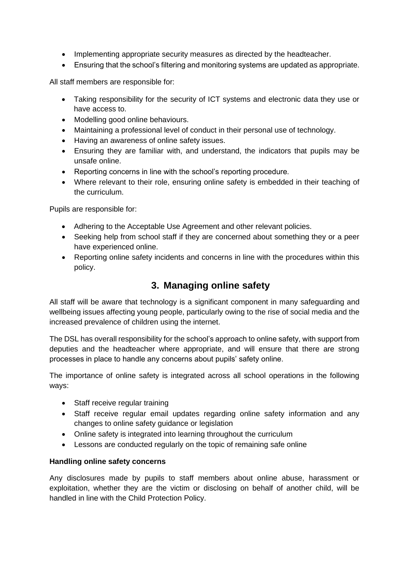- Implementing appropriate security measures as directed by the headteacher.
- Ensuring that the school's filtering and monitoring systems are updated as appropriate.

All staff members are responsible for:

- Taking responsibility for the security of ICT systems and electronic data they use or have access to.
- Modelling good online behaviours.
- Maintaining a professional level of conduct in their personal use of technology.
- Having an awareness of online safety issues.
- Ensuring they are familiar with, and understand, the indicators that pupils may be unsafe online.
- Reporting concerns in line with the school's reporting procedure.
- Where relevant to their role, ensuring online safety is embedded in their teaching of the curriculum.

Pupils are responsible for:

- Adhering to the Acceptable Use Agreement and other relevant policies.
- Seeking help from school staff if they are concerned about something they or a peer have experienced online.
- Reporting online safety incidents and concerns in line with the procedures within this policy.

#### **3. Managing online safety**

<span id="page-5-0"></span>All staff will be aware that technology is a significant component in many safeguarding and wellbeing issues affecting young people, particularly owing to the rise of social media and the increased prevalence of children using the internet.

The DSL has overall responsibility for the school's approach to online safety, with support from deputies and the headteacher where appropriate, and will ensure that there are strong processes in place to handle any concerns about pupils' safety online.

The importance of online safety is integrated across all school operations in the following ways:

- Staff receive regular training
- Staff receive regular email updates regarding online safety information and any changes to online safety guidance or legislation
- Online safety is integrated into learning throughout the curriculum
- Lessons are conducted regularly on the topic of remaining safe online

#### **Handling online safety concerns**

Any disclosures made by pupils to staff members about online abuse, harassment or exploitation, whether they are the victim or disclosing on behalf of another child, will be handled in line with the Child Protection Policy.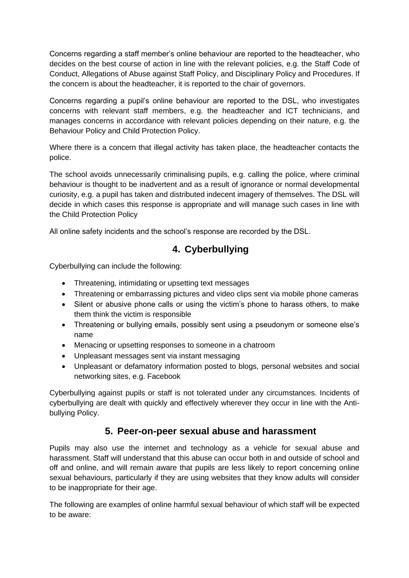Concerns regarding a staff member's online behaviour are reported to the headteacher, who decides on the best course of action in line with the relevant policies, e.g. the Staff Code of Conduct, Allegations of Abuse against Staff Policy, and Disciplinary Policy and Procedures. If the concern is about the headteacher, it is reported to the chair of governors.

Concerns regarding a pupil's online behaviour are reported to the DSL, who investigates concerns with relevant staff members, e.g. the headteacher and ICT technicians, and manages concerns in accordance with relevant policies depending on their nature, e.g. the Behaviour Policy and Child Protection Policy.

Where there is a concern that illegal activity has taken place, the headteacher contacts the police.

The school avoids unnecessarily criminalising pupils, e.g. calling the police, where criminal behaviour is thought to be inadvertent and as a result of ignorance or normal developmental curiosity, e.g. a pupil has taken and distributed indecent imagery of themselves. The DSL will decide in which cases this response is appropriate and will manage such cases in line with the Child Protection Policy

<span id="page-6-0"></span>All online safety incidents and the school's response are recorded by the DSL.

### **4. Cyberbullying**

Cyberbullying can include the following:

- Threatening, intimidating or upsetting text messages
- Threatening or embarrassing pictures and video clips sent via mobile phone cameras
- Silent or abusive phone calls or using the victim's phone to harass others, to make them think the victim is responsible
- Threatening or bullying emails, possibly sent using a pseudonym or someone else's name
- Menacing or upsetting responses to someone in a chatroom
- Unpleasant messages sent via instant messaging
- Unpleasant or defamatory information posted to blogs, personal websites and social networking sites, e.g. Facebook

Cyberbullying against pupils or staff is not tolerated under any circumstances. Incidents of cyberbullying are dealt with quickly and effectively wherever they occur in line with the Antibullying Policy.

#### **5. Peer-on-peer sexual abuse and harassment**

<span id="page-6-1"></span>Pupils may also use the internet and technology as a vehicle for sexual abuse and harassment. Staff will understand that this abuse can occur both in and outside of school and off and online, and will remain aware that pupils are less likely to report concerning online sexual behaviours, particularly if they are using websites that they know adults will consider to be inappropriate for their age.

The following are examples of online harmful sexual behaviour of which staff will be expected to be aware: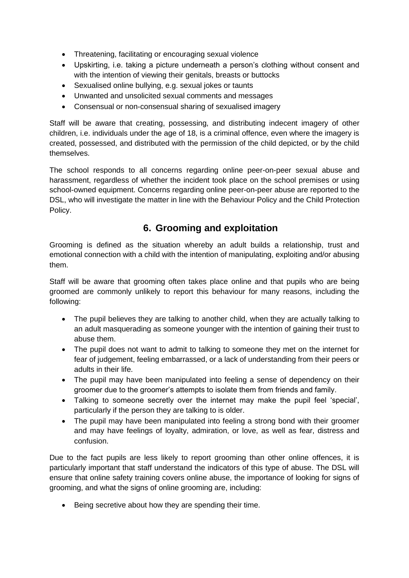- Threatening, facilitating or encouraging sexual violence
- Upskirting, i.e. taking a picture underneath a person's clothing without consent and with the intention of viewing their genitals, breasts or buttocks
- Sexualised online bullying, e.g. sexual jokes or taunts
- Unwanted and unsolicited sexual comments and messages
- Consensual or non-consensual sharing of sexualised imagery

Staff will be aware that creating, possessing, and distributing indecent imagery of other children, i.e. individuals under the age of 18, is a criminal offence, even where the imagery is created, possessed, and distributed with the permission of the child depicted, or by the child themselves.

The school responds to all concerns regarding online peer-on-peer sexual abuse and harassment, regardless of whether the incident took place on the school premises or using school-owned equipment. Concerns regarding online peer-on-peer abuse are reported to the DSL, who will investigate the matter in line with the Behaviour Policy and the Child Protection Policy.

### **6. Grooming and exploitation**

<span id="page-7-0"></span>Grooming is defined as the situation whereby an adult builds a relationship, trust and emotional connection with a child with the intention of manipulating, exploiting and/or abusing them.

Staff will be aware that grooming often takes place online and that pupils who are being groomed are commonly unlikely to report this behaviour for many reasons, including the following:

- The pupil believes they are talking to another child, when they are actually talking to an adult masquerading as someone younger with the intention of gaining their trust to abuse them.
- The pupil does not want to admit to talking to someone they met on the internet for fear of judgement, feeling embarrassed, or a lack of understanding from their peers or adults in their life.
- The pupil may have been manipulated into feeling a sense of dependency on their groomer due to the groomer's attempts to isolate them from friends and family.
- Talking to someone secretly over the internet may make the pupil feel 'special', particularly if the person they are talking to is older.
- The pupil may have been manipulated into feeling a strong bond with their groomer and may have feelings of loyalty, admiration, or love, as well as fear, distress and confusion.

Due to the fact pupils are less likely to report grooming than other online offences, it is particularly important that staff understand the indicators of this type of abuse. The DSL will ensure that online safety training covers online abuse, the importance of looking for signs of grooming, and what the signs of online grooming are, including:

• Being secretive about how they are spending their time.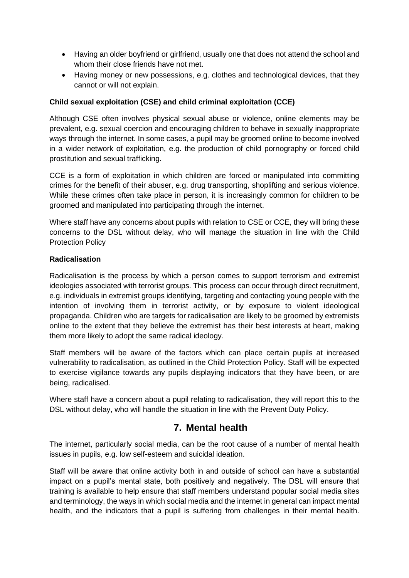- Having an older boyfriend or girlfriend, usually one that does not attend the school and whom their close friends have not met.
- Having money or new possessions, e.g. clothes and technological devices, that they cannot or will not explain.

#### **Child sexual exploitation (CSE) and child criminal exploitation (CCE)**

Although CSE often involves physical sexual abuse or violence, online elements may be prevalent, e.g. sexual coercion and encouraging children to behave in sexually inappropriate ways through the internet. In some cases, a pupil may be groomed online to become involved in a wider network of exploitation, e.g. the production of child pornography or forced child prostitution and sexual trafficking.

CCE is a form of exploitation in which children are forced or manipulated into committing crimes for the benefit of their abuser, e.g. drug transporting, shoplifting and serious violence. While these crimes often take place in person, it is increasingly common for children to be groomed and manipulated into participating through the internet.

Where staff have any concerns about pupils with relation to CSE or CCE, they will bring these concerns to the DSL without delay, who will manage the situation in line with the Child Protection Policy

#### **Radicalisation**

Radicalisation is the process by which a person comes to support terrorism and extremist ideologies associated with terrorist groups. This process can occur through direct recruitment, e.g. individuals in extremist groups identifying, targeting and contacting young people with the intention of involving them in terrorist activity, or by exposure to violent ideological propaganda. Children who are targets for radicalisation are likely to be groomed by extremists online to the extent that they believe the extremist has their best interests at heart, making them more likely to adopt the same radical ideology.

Staff members will be aware of the factors which can place certain pupils at increased vulnerability to radicalisation, as outlined in the Child Protection Policy. Staff will be expected to exercise vigilance towards any pupils displaying indicators that they have been, or are being, radicalised.

Where staff have a concern about a pupil relating to radicalisation, they will report this to the DSL without delay, who will handle the situation in line with the Prevent Duty Policy.

#### **7. Mental health**

<span id="page-8-0"></span>The internet, particularly social media, can be the root cause of a number of mental health issues in pupils, e.g. low self-esteem and suicidal ideation.

Staff will be aware that online activity both in and outside of school can have a substantial impact on a pupil's mental state, both positively and negatively. The DSL will ensure that training is available to help ensure that staff members understand popular social media sites and terminology, the ways in which social media and the internet in general can impact mental health, and the indicators that a pupil is suffering from challenges in their mental health.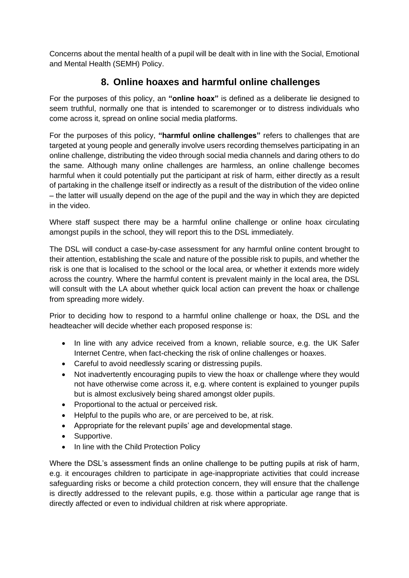Concerns about the mental health of a pupil will be dealt with in line with the Social, Emotional and Mental Health (SEMH) Policy.

### **8. Online hoaxes and harmful online challenges**

<span id="page-9-0"></span>For the purposes of this policy, an **"online hoax"** is defined as a deliberate lie designed to seem truthful, normally one that is intended to scaremonger or to distress individuals who come across it, spread on online social media platforms.

For the purposes of this policy, **"harmful online challenges"** refers to challenges that are targeted at young people and generally involve users recording themselves participating in an online challenge, distributing the video through social media channels and daring others to do the same. Although many online challenges are harmless, an online challenge becomes harmful when it could potentially put the participant at risk of harm, either directly as a result of partaking in the challenge itself or indirectly as a result of the distribution of the video online – the latter will usually depend on the age of the pupil and the way in which they are depicted in the video.

Where staff suspect there may be a harmful online challenge or online hoax circulating amongst pupils in the school, they will report this to the DSL immediately.

The DSL will conduct a case-by-case assessment for any harmful online content brought to their attention, establishing the scale and nature of the possible risk to pupils, and whether the risk is one that is localised to the school or the local area, or whether it extends more widely across the country. Where the harmful content is prevalent mainly in the local area, the DSL will consult with the LA about whether quick local action can prevent the hoax or challenge from spreading more widely.

Prior to deciding how to respond to a harmful online challenge or hoax, the DSL and the headteacher will decide whether each proposed response is:

- In line with any advice received from a known, reliable source, e.g. the UK Safer Internet Centre, when fact-checking the risk of online challenges or hoaxes.
- Careful to avoid needlessly scaring or distressing pupils.
- Not inadvertently encouraging pupils to view the hoax or challenge where they would not have otherwise come across it, e.g. where content is explained to younger pupils but is almost exclusively being shared amongst older pupils.
- Proportional to the actual or perceived risk.
- Helpful to the pupils who are, or are perceived to be, at risk.
- Appropriate for the relevant pupils' age and developmental stage.
- Supportive.
- In line with the Child Protection Policy

Where the DSL's assessment finds an online challenge to be putting pupils at risk of harm, e.g. it encourages children to participate in age-inappropriate activities that could increase safeguarding risks or become a child protection concern, they will ensure that the challenge is directly addressed to the relevant pupils, e.g. those within a particular age range that is directly affected or even to individual children at risk where appropriate.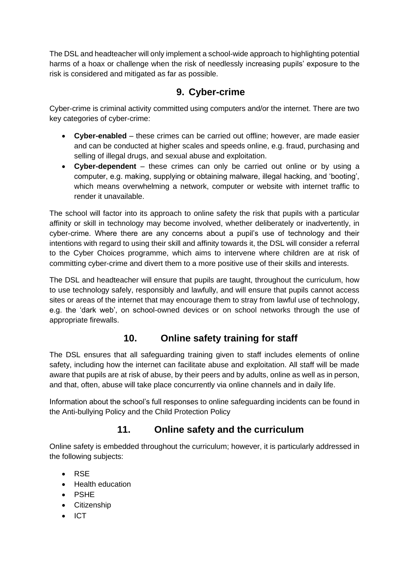The DSL and headteacher will only implement a school-wide approach to highlighting potential harms of a hoax or challenge when the risk of needlessly increasing pupils' exposure to the risk is considered and mitigated as far as possible.

### **9. Cyber-crime**

<span id="page-10-0"></span>Cyber-crime is criminal activity committed using computers and/or the internet. There are two key categories of cyber-crime:

- **Cyber-enabled** these crimes can be carried out offline; however, are made easier and can be conducted at higher scales and speeds online, e.g. fraud, purchasing and selling of illegal drugs, and sexual abuse and exploitation.
- **Cyber-dependent**  these crimes can only be carried out online or by using a computer, e.g. making, supplying or obtaining malware, illegal hacking, and 'booting', which means overwhelming a network, computer or website with internet traffic to render it unavailable.

The school will factor into its approach to online safety the risk that pupils with a particular affinity or skill in technology may become involved, whether deliberately or inadvertently, in cyber-crime. Where there are any concerns about a pupil's use of technology and their intentions with regard to using their skill and affinity towards it, the DSL will consider a referral to the Cyber Choices programme, which aims to intervene where children are at risk of committing cyber-crime and divert them to a more positive use of their skills and interests.

The DSL and headteacher will ensure that pupils are taught, throughout the curriculum, how to use technology safely, responsibly and lawfully, and will ensure that pupils cannot access sites or areas of the internet that may encourage them to stray from lawful use of technology, e.g. the 'dark web', on school-owned devices or on school networks through the use of appropriate firewalls.

### **10. Online safety training for staff**

<span id="page-10-1"></span>The DSL ensures that all safeguarding training given to staff includes elements of online safety, including how the internet can facilitate abuse and exploitation. All staff will be made aware that pupils are at risk of abuse, by their peers and by adults, online as well as in person, and that, often, abuse will take place concurrently via online channels and in daily life.

Information about the school's full responses to online safeguarding incidents can be found in the Anti-bullying Policy and the Child Protection Policy

### **11. Online safety and the curriculum**

<span id="page-10-2"></span>Online safety is embedded throughout the curriculum; however, it is particularly addressed in the following subjects:

- RSE
- Health education
- PSHE
- Citizenship
- ICT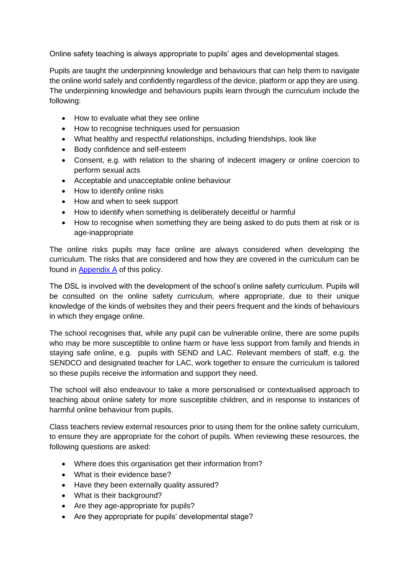Online safety teaching is always appropriate to pupils' ages and developmental stages.

Pupils are taught the underpinning knowledge and behaviours that can help them to navigate the online world safely and confidently regardless of the device, platform or app they are using. The underpinning knowledge and behaviours pupils learn through the curriculum include the following:

- How to evaluate what they see online
- How to recognise techniques used for persuasion
- What healthy and respectful relationships, including friendships, look like
- Body confidence and self-esteem
- Consent, e.g. with relation to the sharing of indecent imagery or online coercion to perform sexual acts
- Acceptable and unacceptable online behaviour
- How to identify online risks
- How and when to seek support
- How to identify when something is deliberately deceitful or harmful
- How to recognise when something they are being asked to do puts them at risk or is age-inappropriate

The online risks pupils may face online are always considered when developing the curriculum. The risks that are considered and how they are covered in the curriculum can be found in [Appendix A](#page-19-0) of this policy.

The DSL is involved with the development of the school's online safety curriculum. Pupils will be consulted on the online safety curriculum, where appropriate, due to their unique knowledge of the kinds of websites they and their peers frequent and the kinds of behaviours in which they engage online.

The school recognises that, while any pupil can be vulnerable online, there are some pupils who may be more susceptible to online harm or have less support from family and friends in staying safe online, e.g. pupils with SEND and LAC. Relevant members of staff, e.g. the SENDCO and designated teacher for LAC, work together to ensure the curriculum is tailored so these pupils receive the information and support they need.

The school will also endeavour to take a more personalised or contextualised approach to teaching about online safety for more susceptible children, and in response to instances of harmful online behaviour from pupils.

Class teachers review external resources prior to using them for the online safety curriculum, to ensure they are appropriate for the cohort of pupils. When reviewing these resources, the following questions are asked:

- Where does this organisation get their information from?
- What is their evidence base?
- Have they been externally quality assured?
- What is their background?
- Are they age-appropriate for pupils?
- Are they appropriate for pupils' developmental stage?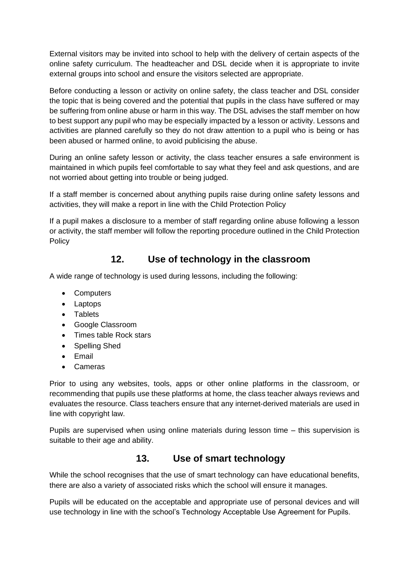External visitors may be invited into school to help with the delivery of certain aspects of the online safety curriculum. The headteacher and DSL decide when it is appropriate to invite external groups into school and ensure the visitors selected are appropriate.

Before conducting a lesson or activity on online safety, the class teacher and DSL consider the topic that is being covered and the potential that pupils in the class have suffered or may be suffering from online abuse or harm in this way. The DSL advises the staff member on how to best support any pupil who may be especially impacted by a lesson or activity. Lessons and activities are planned carefully so they do not draw attention to a pupil who is being or has been abused or harmed online, to avoid publicising the abuse.

During an online safety lesson or activity, the class teacher ensures a safe environment is maintained in which pupils feel comfortable to say what they feel and ask questions, and are not worried about getting into trouble or being judged.

If a staff member is concerned about anything pupils raise during online safety lessons and activities, they will make a report in line with the Child Protection Policy

If a pupil makes a disclosure to a member of staff regarding online abuse following a lesson or activity, the staff member will follow the reporting procedure outlined in the Child Protection **Policy** 

### **12. Use of technology in the classroom**

<span id="page-12-0"></span>A wide range of technology is used during lessons, including the following:

- Computers
- Laptops
- Tablets
- Google Classroom
- Times table Rock stars
- Spelling Shed
- Email
- Cameras

Prior to using any websites, tools, apps or other online platforms in the classroom, or recommending that pupils use these platforms at home, the class teacher always reviews and evaluates the resource. Class teachers ensure that any internet-derived materials are used in line with copyright law.

Pupils are supervised when using online materials during lesson time – this supervision is suitable to their age and ability.

#### **13. Use of smart technology**

<span id="page-12-1"></span>While the school recognises that the use of smart technology can have educational benefits, there are also a variety of associated risks which the school will ensure it manages.

Pupils will be educated on the acceptable and appropriate use of personal devices and will use technology in line with the school's Technology Acceptable Use Agreement for Pupils.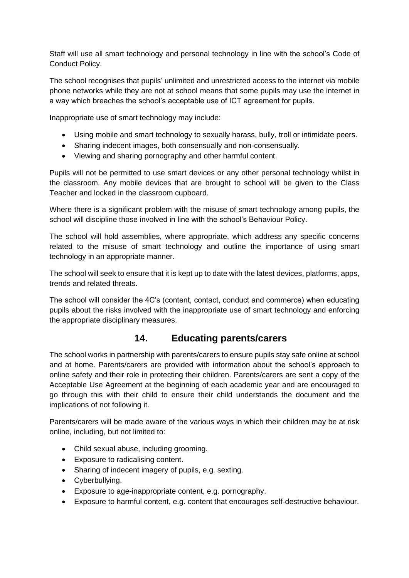Staff will use all smart technology and personal technology in line with the school's Code of Conduct Policy.

The school recognises that pupils' unlimited and unrestricted access to the internet via mobile phone networks while they are not at school means that some pupils may use the internet in a way which breaches the school's acceptable use of ICT agreement for pupils.

Inappropriate use of smart technology may include:

- Using mobile and smart technology to sexually harass, bully, troll or intimidate peers.
- Sharing indecent images, both consensually and non-consensually.
- Viewing and sharing pornography and other harmful content.

Pupils will not be permitted to use smart devices or any other personal technology whilst in the classroom. Any mobile devices that are brought to school will be given to the Class Teacher and locked in the classroom cupboard.

Where there is a significant problem with the misuse of smart technology among pupils, the school will discipline those involved in line with the school's Behaviour Policy.

The school will hold assemblies, where appropriate, which address any specific concerns related to the misuse of smart technology and outline the importance of using smart technology in an appropriate manner.

The school will seek to ensure that it is kept up to date with the latest devices, platforms, apps, trends and related threats.

The school will consider the 4C's (content, contact, conduct and commerce) when educating pupils about the risks involved with the inappropriate use of smart technology and enforcing the appropriate disciplinary measures.

#### **14. Educating parents/carers**

<span id="page-13-0"></span>The school works in partnership with parents/carers to ensure pupils stay safe online at school and at home. Parents/carers are provided with information about the school's approach to online safety and their role in protecting their children. Parents/carers are sent a copy of the Acceptable Use Agreement at the beginning of each academic year and are encouraged to go through this with their child to ensure their child understands the document and the implications of not following it.

Parents/carers will be made aware of the various ways in which their children may be at risk online, including, but not limited to:

- Child sexual abuse, including grooming.
- Exposure to radicalising content.
- Sharing of indecent imagery of pupils, e.g. sexting.
- Cyberbullying.
- Exposure to age-inappropriate content, e.g. pornography.
- Exposure to harmful content, e.g. content that encourages self-destructive behaviour.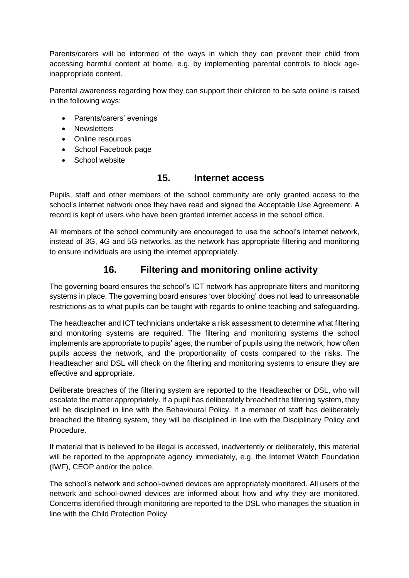Parents/carers will be informed of the ways in which they can prevent their child from accessing harmful content at home, e.g. by implementing parental controls to block ageinappropriate content.

Parental awareness regarding how they can support their children to be safe online is raised in the following ways:

- Parents/carers' evenings
- Newsletters
- Online resources
- School Facebook page
- School website

#### **15. Internet access**

<span id="page-14-0"></span>Pupils, staff and other members of the school community are only granted access to the school's internet network once they have read and signed the Acceptable Use Agreement. A record is kept of users who have been granted internet access in the school office.

All members of the school community are encouraged to use the school's internet network, instead of 3G, 4G and 5G networks, as the network has appropriate filtering and monitoring to ensure individuals are using the internet appropriately.

### **16. Filtering and monitoring online activity**

<span id="page-14-1"></span>The governing board ensures the school's ICT network has appropriate filters and monitoring systems in place. The governing board ensures 'over blocking' does not lead to unreasonable restrictions as to what pupils can be taught with regards to online teaching and safeguarding.

The headteacher and ICT technicians undertake a risk assessment to determine what filtering and monitoring systems are required. The filtering and monitoring systems the school implements are appropriate to pupils' ages, the number of pupils using the network, how often pupils access the network, and the proportionality of costs compared to the risks. The Headteacher and DSL will check on the filtering and monitoring systems to ensure they are effective and appropriate.

Deliberate breaches of the filtering system are reported to the Headteacher or DSL, who will escalate the matter appropriately. If a pupil has deliberately breached the filtering system, they will be disciplined in line with the Behavioural Policy. If a member of staff has deliberately breached the filtering system, they will be disciplined in line with the Disciplinary Policy and Procedure.

If material that is believed to be illegal is accessed, inadvertently or deliberately, this material will be reported to the appropriate agency immediately, e.g. the Internet Watch Foundation (IWF), CEOP and/or the police.

The school's network and school-owned devices are appropriately monitored. All users of the network and school-owned devices are informed about how and why they are monitored. Concerns identified through monitoring are reported to the DSL who manages the situation in line with the Child Protection Policy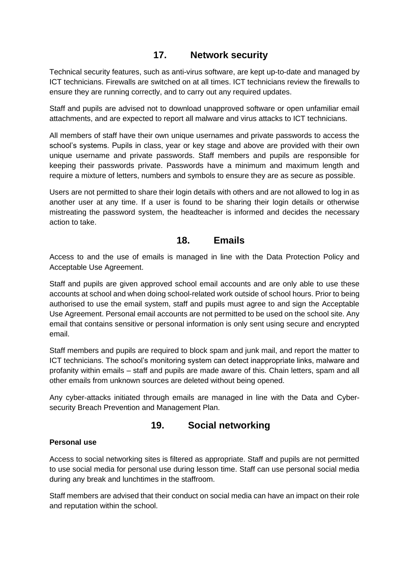### **17. Network security**

<span id="page-15-0"></span>Technical security features, such as anti-virus software, are kept up-to-date and managed by ICT technicians. Firewalls are switched on at all times. ICT technicians review the firewalls to ensure they are running correctly, and to carry out any required updates.

Staff and pupils are advised not to download unapproved software or open unfamiliar email attachments, and are expected to report all malware and virus attacks to ICT technicians.

All members of staff have their own unique usernames and private passwords to access the school's systems. Pupils in class, year or key stage and above are provided with their own unique username and private passwords. Staff members and pupils are responsible for keeping their passwords private. Passwords have a minimum and maximum length and require a mixture of letters, numbers and symbols to ensure they are as secure as possible.

Users are not permitted to share their login details with others and are not allowed to log in as another user at any time. If a user is found to be sharing their login details or otherwise mistreating the password system, the headteacher is informed and decides the necessary action to take.

#### **18. Emails**

<span id="page-15-1"></span>Access to and the use of emails is managed in line with the Data Protection Policy and Acceptable Use Agreement.

Staff and pupils are given approved school email accounts and are only able to use these accounts at school and when doing school-related work outside of school hours. Prior to being authorised to use the email system, staff and pupils must agree to and sign the Acceptable Use Agreement. Personal email accounts are not permitted to be used on the school site. Any email that contains sensitive or personal information is only sent using secure and encrypted email.

Staff members and pupils are required to block spam and junk mail, and report the matter to ICT technicians. The school's monitoring system can detect inappropriate links, malware and profanity within emails – staff and pupils are made aware of this. Chain letters, spam and all other emails from unknown sources are deleted without being opened.

Any cyber-attacks initiated through emails are managed in line with the Data and Cybersecurity Breach Prevention and Management Plan.

#### **19. Social networking**

#### <span id="page-15-2"></span>**Personal use**

Access to social networking sites is filtered as appropriate. Staff and pupils are not permitted to use social media for personal use during lesson time. Staff can use personal social media during any break and lunchtimes in the staffroom.

Staff members are advised that their conduct on social media can have an impact on their role and reputation within the school.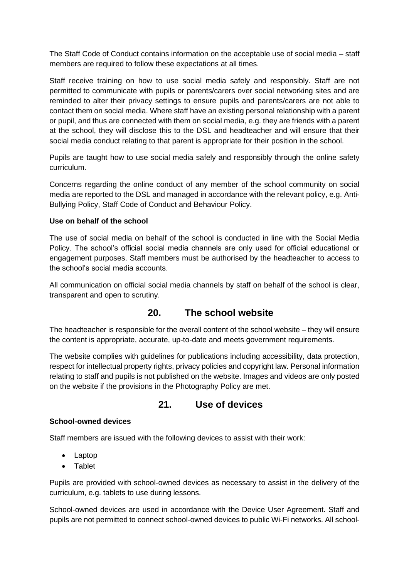The Staff Code of Conduct contains information on the acceptable use of social media – staff members are required to follow these expectations at all times.

Staff receive training on how to use social media safely and responsibly. Staff are not permitted to communicate with pupils or parents/carers over social networking sites and are reminded to alter their privacy settings to ensure pupils and parents/carers are not able to contact them on social media. Where staff have an existing personal relationship with a parent or pupil, and thus are connected with them on social media, e.g. they are friends with a parent at the school, they will disclose this to the DSL and headteacher and will ensure that their social media conduct relating to that parent is appropriate for their position in the school.

Pupils are taught how to use social media safely and responsibly through the online safety curriculum.

Concerns regarding the online conduct of any member of the school community on social media are reported to the DSL and managed in accordance with the relevant policy, e.g. Anti-Bullying Policy, Staff Code of Conduct and Behaviour Policy.

#### **Use on behalf of the school**

The use of social media on behalf of the school is conducted in line with the Social Media Policy. The school's official social media channels are only used for official educational or engagement purposes. Staff members must be authorised by the headteacher to access to the school's social media accounts.

All communication on official social media channels by staff on behalf of the school is clear, transparent and open to scrutiny.

#### **20. The school website**

<span id="page-16-0"></span>The headteacher is responsible for the overall content of the school website – they will ensure the content is appropriate, accurate, up-to-date and meets government requirements.

The website complies with guidelines for publications including accessibility, data protection, respect for intellectual property rights, privacy policies and copyright law. Personal information relating to staff and pupils is not published on the website. Images and videos are only posted on the website if the provisions in the Photography Policy are met.

#### **21. Use of devices**

#### <span id="page-16-1"></span>**School-owned devices**

Staff members are issued with the following devices to assist with their work:

- Laptop
- Tablet

Pupils are provided with school-owned devices as necessary to assist in the delivery of the curriculum, e.g. tablets to use during lessons.

School-owned devices are used in accordance with the Device User Agreement. Staff and pupils are not permitted to connect school-owned devices to public Wi-Fi networks. All school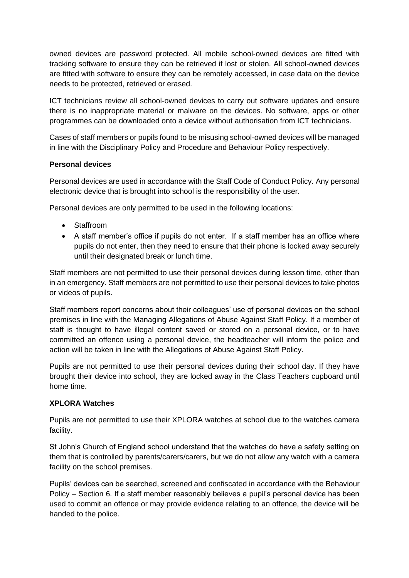owned devices are password protected. All mobile school-owned devices are fitted with tracking software to ensure they can be retrieved if lost or stolen. All school-owned devices are fitted with software to ensure they can be remotely accessed, in case data on the device needs to be protected, retrieved or erased.

ICT technicians review all school-owned devices to carry out software updates and ensure there is no inappropriate material or malware on the devices. No software, apps or other programmes can be downloaded onto a device without authorisation from ICT technicians.

Cases of staff members or pupils found to be misusing school-owned devices will be managed in line with the Disciplinary Policy and Procedure and Behaviour Policy respectively.

#### **Personal devices**

Personal devices are used in accordance with the Staff Code of Conduct Policy. Any personal electronic device that is brought into school is the responsibility of the user.

Personal devices are only permitted to be used in the following locations:

- Staffroom
- A staff member's office if pupils do not enter. If a staff member has an office where pupils do not enter, then they need to ensure that their phone is locked away securely until their designated break or lunch time.

Staff members are not permitted to use their personal devices during lesson time, other than in an emergency. Staff members are not permitted to use their personal devices to take photos or videos of pupils.

Staff members report concerns about their colleagues' use of personal devices on the school premises in line with the Managing Allegations of Abuse Against Staff Policy. If a member of staff is thought to have illegal content saved or stored on a personal device, or to have committed an offence using a personal device, the headteacher will inform the police and action will be taken in line with the Allegations of Abuse Against Staff Policy.

Pupils are not permitted to use their personal devices during their school day. If they have brought their device into school, they are locked away in the Class Teachers cupboard until home time.

#### **XPLORA Watches**

Pupils are not permitted to use their XPLORA watches at school due to the watches camera facility.

St John's Church of England school understand that the watches do have a safety setting on them that is controlled by parents/carers/carers, but we do not allow any watch with a camera facility on the school premises.

Pupils' devices can be searched, screened and confiscated in accordance with the Behaviour Policy – Section 6. If a staff member reasonably believes a pupil's personal device has been used to commit an offence or may provide evidence relating to an offence, the device will be handed to the police.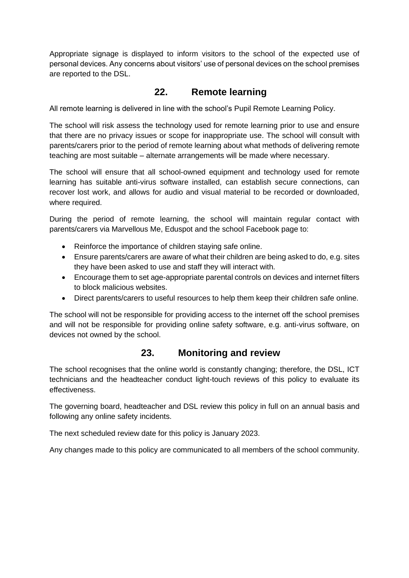Appropriate signage is displayed to inform visitors to the school of the expected use of personal devices. Any concerns about visitors' use of personal devices on the school premises are reported to the DSL.

#### **22. Remote learning**

<span id="page-18-0"></span>All remote learning is delivered in line with the school's Pupil Remote Learning Policy.

The school will risk assess the technology used for remote learning prior to use and ensure that there are no privacy issues or scope for inappropriate use. The school will consult with parents/carers prior to the period of remote learning about what methods of delivering remote teaching are most suitable – alternate arrangements will be made where necessary.

The school will ensure that all school-owned equipment and technology used for remote learning has suitable anti-virus software installed, can establish secure connections, can recover lost work, and allows for audio and visual material to be recorded or downloaded, where required.

During the period of remote learning, the school will maintain regular contact with parents/carers via Marvellous Me, Eduspot and the school Facebook page to:

- Reinforce the importance of children staying safe online.
- Ensure parents/carers are aware of what their children are being asked to do, e.g. sites they have been asked to use and staff they will interact with.
- Encourage them to set age-appropriate parental controls on devices and internet filters to block malicious websites.
- Direct parents/carers to useful resources to help them keep their children safe online.

The school will not be responsible for providing access to the internet off the school premises and will not be responsible for providing online safety software, e.g. anti-virus software, on devices not owned by the school.

#### **23. Monitoring and review**

<span id="page-18-1"></span>The school recognises that the online world is constantly changing; therefore, the DSL, ICT technicians and the headteacher conduct light-touch reviews of this policy to evaluate its effectiveness.

The governing board, headteacher and DSL review this policy in full on an annual basis and following any online safety incidents.

The next scheduled review date for this policy is January 2023.

Any changes made to this policy are communicated to all members of the school community.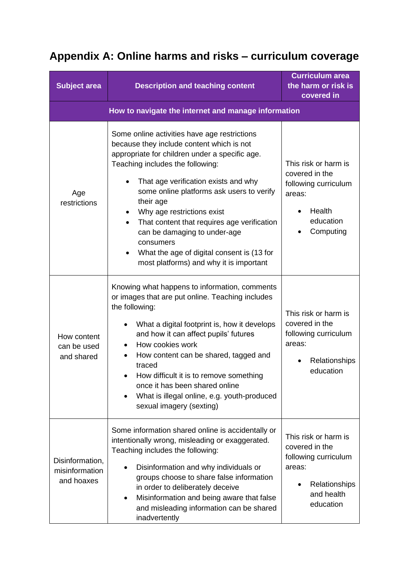# <span id="page-19-0"></span>**Appendix A: Online harms and risks – curriculum coverage**

| <b>Subject area</b>                                 | <b>Description and teaching content</b>                                                                                                                                                                                                                                                                                                                                                                                                                                                                           | <b>Curriculum area</b><br>the harm or risk is<br>covered in                                                          |
|-----------------------------------------------------|-------------------------------------------------------------------------------------------------------------------------------------------------------------------------------------------------------------------------------------------------------------------------------------------------------------------------------------------------------------------------------------------------------------------------------------------------------------------------------------------------------------------|----------------------------------------------------------------------------------------------------------------------|
| How to navigate the internet and manage information |                                                                                                                                                                                                                                                                                                                                                                                                                                                                                                                   |                                                                                                                      |
| Age<br>restrictions                                 | Some online activities have age restrictions<br>because they include content which is not<br>appropriate for children under a specific age.<br>Teaching includes the following:<br>That age verification exists and why<br>some online platforms ask users to verify<br>their age<br>Why age restrictions exist<br>That content that requires age verification<br>$\bullet$<br>can be damaging to under-age<br>consumers<br>What the age of digital consent is (13 for<br>most platforms) and why it is important | This risk or harm is<br>covered in the<br>following curriculum<br>areas:<br>Health<br>education<br>Computing         |
| How content<br>can be used<br>and shared            | Knowing what happens to information, comments<br>or images that are put online. Teaching includes<br>the following:<br>What a digital footprint is, how it develops<br>$\bullet$<br>and how it can affect pupils' futures<br>How cookies work<br>How content can be shared, tagged and<br>traced<br>How difficult it is to remove something<br>once it has been shared online<br>What is illegal online, e.g. youth-produced<br>$\bullet$<br>sexual imagery (sexting)                                             | This risk or harm is<br>covered in the<br>following curriculum<br>areas:<br>Relationships<br>education               |
| Disinformation,<br>misinformation<br>and hoaxes     | Some information shared online is accidentally or<br>intentionally wrong, misleading or exaggerated.<br>Teaching includes the following:<br>Disinformation and why individuals or<br>groups choose to share false information<br>in order to deliberately deceive<br>Misinformation and being aware that false<br>$\bullet$<br>and misleading information can be shared<br>inadvertently                                                                                                                          | This risk or harm is<br>covered in the<br>following curriculum<br>areas:<br>Relationships<br>and health<br>education |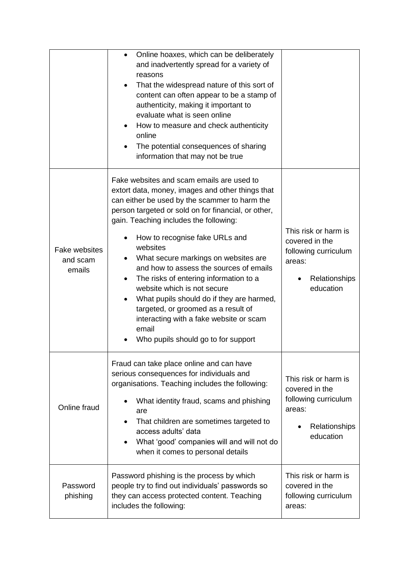|                                            | Online hoaxes, which can be deliberately<br>$\bullet$<br>and inadvertently spread for a variety of<br>reasons<br>That the widespread nature of this sort of<br>content can often appear to be a stamp of<br>authenticity, making it important to<br>evaluate what is seen online<br>How to measure and check authenticity<br>online<br>The potential consequences of sharing<br>information that may not be true                                                                                                                                                                                                                         |                                                                                                        |
|--------------------------------------------|------------------------------------------------------------------------------------------------------------------------------------------------------------------------------------------------------------------------------------------------------------------------------------------------------------------------------------------------------------------------------------------------------------------------------------------------------------------------------------------------------------------------------------------------------------------------------------------------------------------------------------------|--------------------------------------------------------------------------------------------------------|
| <b>Fake websites</b><br>and scam<br>emails | Fake websites and scam emails are used to<br>extort data, money, images and other things that<br>can either be used by the scammer to harm the<br>person targeted or sold on for financial, or other,<br>gain. Teaching includes the following:<br>How to recognise fake URLs and<br>websites<br>What secure markings on websites are<br>and how to assess the sources of emails<br>The risks of entering information to a<br>website which is not secure<br>What pupils should do if they are harmed,<br>targeted, or groomed as a result of<br>interacting with a fake website or scam<br>email<br>Who pupils should go to for support | This risk or harm is<br>covered in the<br>following curriculum<br>areas:<br>Relationships<br>education |
| Online fraud                               | Fraud can take place online and can have<br>serious consequences for individuals and<br>organisations. Teaching includes the following:<br>What identity fraud, scams and phishing<br>are<br>That children are sometimes targeted to<br>access adults' data<br>What 'good' companies will and will not do<br>when it comes to personal details                                                                                                                                                                                                                                                                                           | This risk or harm is<br>covered in the<br>following curriculum<br>areas:<br>Relationships<br>education |
| Password<br>phishing                       | Password phishing is the process by which<br>people try to find out individuals' passwords so<br>they can access protected content. Teaching<br>includes the following:                                                                                                                                                                                                                                                                                                                                                                                                                                                                  | This risk or harm is<br>covered in the<br>following curriculum<br>areas:                               |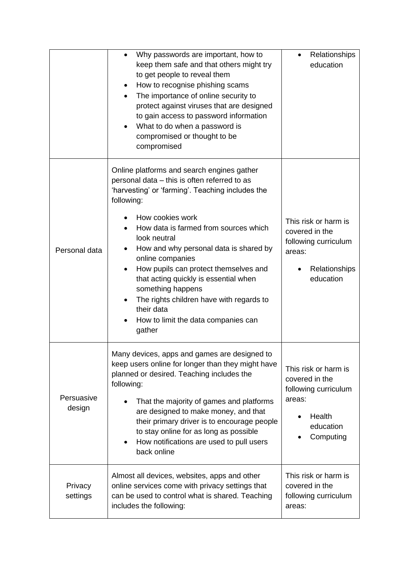|                      | Why passwords are important, how to<br>$\bullet$<br>keep them safe and that others might try<br>to get people to reveal them<br>How to recognise phishing scams<br>The importance of online security to<br>protect against viruses that are designed<br>to gain access to password information<br>What to do when a password is<br>compromised or thought to be<br>compromised                                                                                                                                                              | Relationships<br>education                                                                                   |
|----------------------|---------------------------------------------------------------------------------------------------------------------------------------------------------------------------------------------------------------------------------------------------------------------------------------------------------------------------------------------------------------------------------------------------------------------------------------------------------------------------------------------------------------------------------------------|--------------------------------------------------------------------------------------------------------------|
| Personal data        | Online platforms and search engines gather<br>personal data - this is often referred to as<br>'harvesting' or 'farming'. Teaching includes the<br>following:<br>How cookies work<br>How data is farmed from sources which<br>look neutral<br>How and why personal data is shared by<br>٠<br>online companies<br>How pupils can protect themselves and<br>$\bullet$<br>that acting quickly is essential when<br>something happens<br>The rights children have with regards to<br>their data<br>How to limit the data companies can<br>gather | This risk or harm is<br>covered in the<br>following curriculum<br>areas:<br>Relationships<br>education       |
| Persuasive<br>design | Many devices, apps and games are designed to<br>keep users online for longer than they might have<br>planned or desired. Teaching includes the<br>following:<br>That the majority of games and platforms<br>are designed to make money, and that<br>their primary driver is to encourage people<br>to stay online for as long as possible<br>How notifications are used to pull users<br>$\bullet$<br>back online                                                                                                                           | This risk or harm is<br>covered in the<br>following curriculum<br>areas:<br>Health<br>education<br>Computing |
| Privacy<br>settings  | Almost all devices, websites, apps and other<br>online services come with privacy settings that<br>can be used to control what is shared. Teaching<br>includes the following:                                                                                                                                                                                                                                                                                                                                                               | This risk or harm is<br>covered in the<br>following curriculum<br>areas:                                     |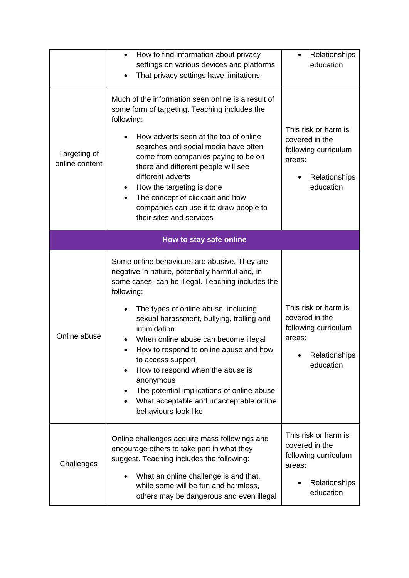|                                | How to find information about privacy<br>$\bullet$<br>settings on various devices and platforms<br>That privacy settings have limitations                                                                                                                                                                                                                                                                                                                                                                                                                     | Relationships<br>education                                                                             |
|--------------------------------|---------------------------------------------------------------------------------------------------------------------------------------------------------------------------------------------------------------------------------------------------------------------------------------------------------------------------------------------------------------------------------------------------------------------------------------------------------------------------------------------------------------------------------------------------------------|--------------------------------------------------------------------------------------------------------|
| Targeting of<br>online content | Much of the information seen online is a result of<br>some form of targeting. Teaching includes the<br>following:<br>How adverts seen at the top of online<br>٠<br>searches and social media have often<br>come from companies paying to be on<br>there and different people will see<br>different adverts<br>How the targeting is done<br>The concept of clickbait and how<br>$\bullet$<br>companies can use it to draw people to<br>their sites and services                                                                                                | This risk or harm is<br>covered in the<br>following curriculum<br>areas:<br>Relationships<br>education |
|                                | How to stay safe online                                                                                                                                                                                                                                                                                                                                                                                                                                                                                                                                       |                                                                                                        |
| Online abuse                   | Some online behaviours are abusive. They are<br>negative in nature, potentially harmful and, in<br>some cases, can be illegal. Teaching includes the<br>following:<br>The types of online abuse, including<br>$\bullet$<br>sexual harassment, bullying, trolling and<br>intimidation<br>When online abuse can become illegal<br>How to respond to online abuse and how<br>to access support<br>How to respond when the abuse is<br>anonymous<br>The potential implications of online abuse<br>What acceptable and unacceptable online<br>behaviours look like | This risk or harm is<br>covered in the<br>following curriculum<br>areas:<br>Relationships<br>education |
| Challenges                     | Online challenges acquire mass followings and<br>encourage others to take part in what they<br>suggest. Teaching includes the following:<br>What an online challenge is and that,<br>while some will be fun and harmless,<br>others may be dangerous and even illegal                                                                                                                                                                                                                                                                                         | This risk or harm is<br>covered in the<br>following curriculum<br>areas:<br>Relationships<br>education |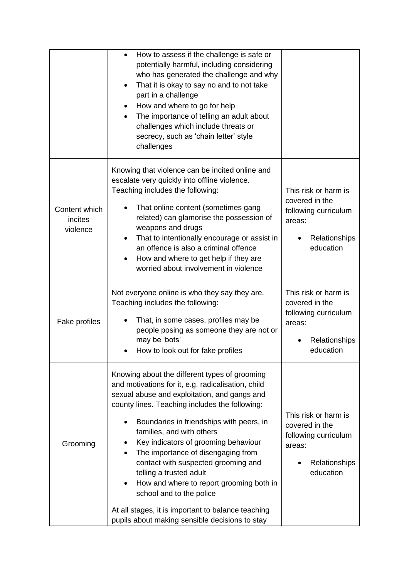|                                      | How to assess if the challenge is safe or<br>$\bullet$<br>potentially harmful, including considering<br>who has generated the challenge and why<br>That it is okay to say no and to not take<br>part in a challenge<br>How and where to go for help<br>The importance of telling an adult about<br>challenges which include threats or<br>secrecy, such as 'chain letter' style<br>challenges                                                                                                                                                                                                                               |                                                                                                        |
|--------------------------------------|-----------------------------------------------------------------------------------------------------------------------------------------------------------------------------------------------------------------------------------------------------------------------------------------------------------------------------------------------------------------------------------------------------------------------------------------------------------------------------------------------------------------------------------------------------------------------------------------------------------------------------|--------------------------------------------------------------------------------------------------------|
| Content which<br>incites<br>violence | Knowing that violence can be incited online and<br>escalate very quickly into offline violence.<br>Teaching includes the following:<br>That online content (sometimes gang<br>related) can glamorise the possession of<br>weapons and drugs<br>That to intentionally encourage or assist in<br>٠<br>an offence is also a criminal offence<br>How and where to get help if they are<br>worried about involvement in violence                                                                                                                                                                                                 | This risk or harm is<br>covered in the<br>following curriculum<br>areas:<br>Relationships<br>education |
| Fake profiles                        | Not everyone online is who they say they are.<br>Teaching includes the following:<br>That, in some cases, profiles may be<br>people posing as someone they are not or<br>may be 'bots'<br>How to look out for fake profiles                                                                                                                                                                                                                                                                                                                                                                                                 | This risk or harm is<br>covered in the<br>following curriculum<br>areas:<br>Relationships<br>education |
| Grooming                             | Knowing about the different types of grooming<br>and motivations for it, e.g. radicalisation, child<br>sexual abuse and exploitation, and gangs and<br>county lines. Teaching includes the following:<br>Boundaries in friendships with peers, in<br>families, and with others<br>Key indicators of grooming behaviour<br>The importance of disengaging from<br>contact with suspected grooming and<br>telling a trusted adult<br>How and where to report grooming both in<br>$\bullet$<br>school and to the police<br>At all stages, it is important to balance teaching<br>pupils about making sensible decisions to stay | This risk or harm is<br>covered in the<br>following curriculum<br>areas:<br>Relationships<br>education |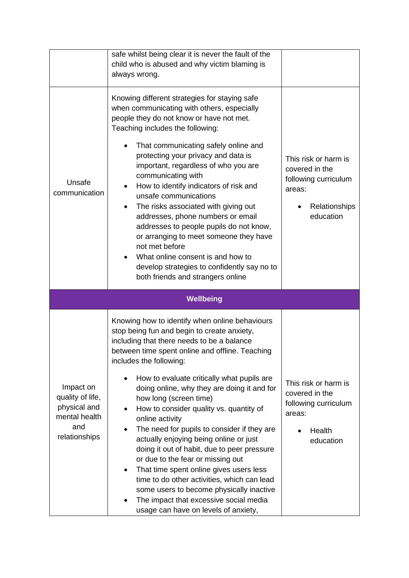|                                                                                        | safe whilst being clear it is never the fault of the<br>child who is abused and why victim blaming is<br>always wrong.                                                                                                                                                                                                                                                                                                                                                                                                                                                                                                                                                                                                                                                                                                                        |                                                                                                        |
|----------------------------------------------------------------------------------------|-----------------------------------------------------------------------------------------------------------------------------------------------------------------------------------------------------------------------------------------------------------------------------------------------------------------------------------------------------------------------------------------------------------------------------------------------------------------------------------------------------------------------------------------------------------------------------------------------------------------------------------------------------------------------------------------------------------------------------------------------------------------------------------------------------------------------------------------------|--------------------------------------------------------------------------------------------------------|
| Unsafe<br>communication                                                                | Knowing different strategies for staying safe<br>when communicating with others, especially<br>people they do not know or have not met.<br>Teaching includes the following:<br>That communicating safely online and<br>protecting your privacy and data is<br>important, regardless of who you are<br>communicating with<br>How to identify indicators of risk and<br>٠<br>unsafe communications<br>The risks associated with giving out<br>$\bullet$<br>addresses, phone numbers or email<br>addresses to people pupils do not know,<br>or arranging to meet someone they have<br>not met before<br>What online consent is and how to<br>develop strategies to confidently say no to<br>both friends and strangers online                                                                                                                    | This risk or harm is<br>covered in the<br>following curriculum<br>areas:<br>Relationships<br>education |
|                                                                                        | Wellbeing                                                                                                                                                                                                                                                                                                                                                                                                                                                                                                                                                                                                                                                                                                                                                                                                                                     |                                                                                                        |
| Impact on<br>quality of life,<br>physical and<br>mental health<br>and<br>relationships | Knowing how to identify when online behaviours<br>stop being fun and begin to create anxiety,<br>including that there needs to be a balance<br>between time spent online and offline. Teaching<br>includes the following:<br>How to evaluate critically what pupils are<br>doing online, why they are doing it and for<br>how long (screen time)<br>How to consider quality vs. quantity of<br>$\bullet$<br>online activity<br>The need for pupils to consider if they are<br>actually enjoying being online or just<br>doing it out of habit, due to peer pressure<br>or due to the fear or missing out<br>That time spent online gives users less<br>$\bullet$<br>time to do other activities, which can lead<br>some users to become physically inactive<br>The impact that excessive social media<br>usage can have on levels of anxiety, | This risk or harm is<br>covered in the<br>following curriculum<br>areas:<br>Health<br>education        |